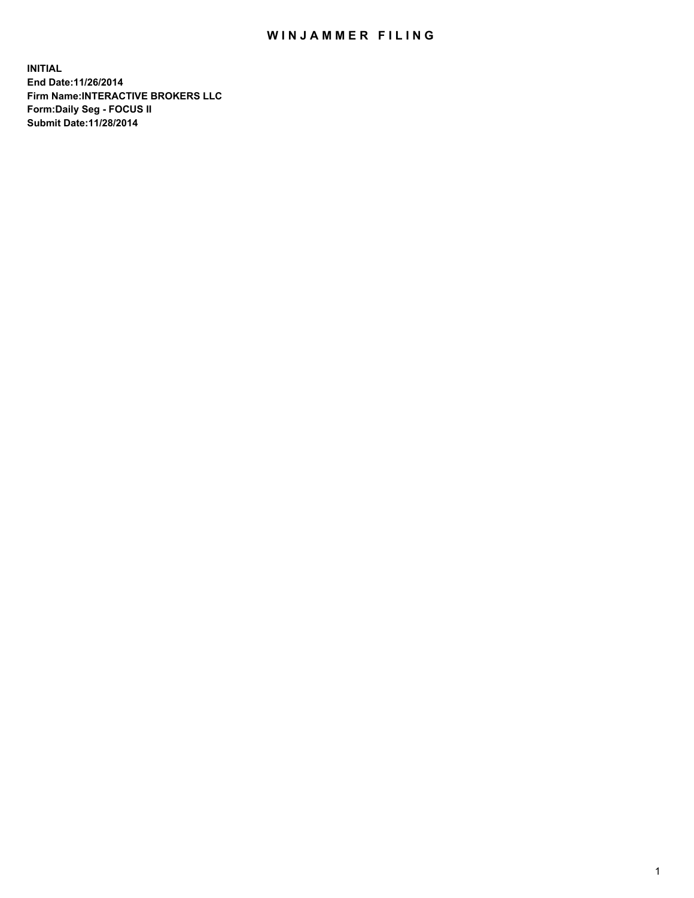## WIN JAMMER FILING

**INITIAL End Date:11/26/2014 Firm Name:INTERACTIVE BROKERS LLC Form:Daily Seg - FOCUS II Submit Date:11/28/2014**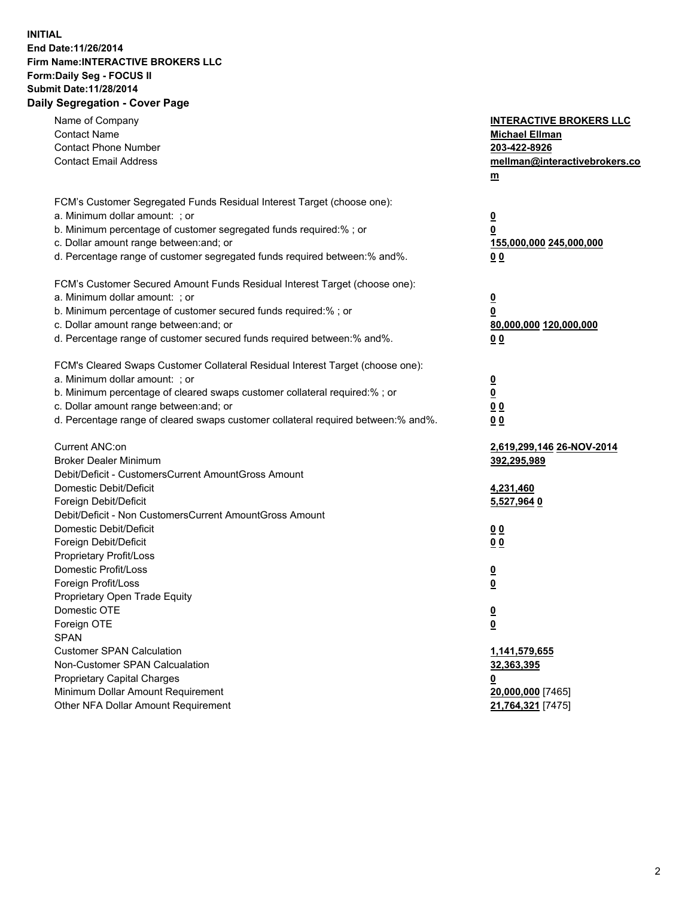## **INITIAL End Date:11/26/2014 Firm Name:INTERACTIVE BROKERS LLC Form:Daily Seg - FOCUS II Submit Date:11/28/2014 Daily Segregation - Cover Page**

| Name of Company<br><b>Contact Name</b><br><b>Contact Phone Number</b><br><b>Contact Email Address</b>                                                                                                                                                                                                                          | <b>INTERACTIVE BROKERS LLC</b><br><b>Michael Ellman</b><br>203-422-8926<br>mellman@interactivebrokers.co<br><u>m</u> |
|--------------------------------------------------------------------------------------------------------------------------------------------------------------------------------------------------------------------------------------------------------------------------------------------------------------------------------|----------------------------------------------------------------------------------------------------------------------|
| FCM's Customer Segregated Funds Residual Interest Target (choose one):<br>a. Minimum dollar amount: ; or<br>b. Minimum percentage of customer segregated funds required:% ; or<br>c. Dollar amount range between: and; or<br>d. Percentage range of customer segregated funds required between:% and%.                         | $\overline{\mathbf{0}}$<br>0<br>155,000,000 245,000,000<br>00                                                        |
| FCM's Customer Secured Amount Funds Residual Interest Target (choose one):<br>a. Minimum dollar amount: ; or<br>b. Minimum percentage of customer secured funds required:% ; or<br>c. Dollar amount range between: and; or<br>d. Percentage range of customer secured funds required between:% and%.                           | $\overline{\mathbf{0}}$<br>0<br>80,000,000 120,000,000<br>0 <sub>0</sub>                                             |
| FCM's Cleared Swaps Customer Collateral Residual Interest Target (choose one):<br>a. Minimum dollar amount: ; or<br>b. Minimum percentage of cleared swaps customer collateral required:% ; or<br>c. Dollar amount range between: and; or<br>d. Percentage range of cleared swaps customer collateral required between:% and%. | $\overline{\mathbf{0}}$<br><u>0</u><br>0 <sub>0</sub><br>0 <sub>0</sub>                                              |
| Current ANC:on<br><b>Broker Dealer Minimum</b><br>Debit/Deficit - CustomersCurrent AmountGross Amount<br>Domestic Debit/Deficit<br>Foreign Debit/Deficit                                                                                                                                                                       | 2,619,299,146 26-NOV-2014<br>392,295,989<br>4,231,460<br>5,527,964 0                                                 |
| Debit/Deficit - Non CustomersCurrent AmountGross Amount<br>Domestic Debit/Deficit<br>Foreign Debit/Deficit<br>Proprietary Profit/Loss<br>Domestic Profit/Loss<br>Foreign Profit/Loss                                                                                                                                           | 0 <sub>0</sub><br>0 <sub>0</sub><br>$\overline{\mathbf{0}}$<br>$\overline{\mathbf{0}}$                               |
| Proprietary Open Trade Equity<br>Domestic OTE<br>Foreign OTE<br><b>SPAN</b><br><b>Customer SPAN Calculation</b>                                                                                                                                                                                                                | $\overline{\mathbf{0}}$<br><u>0</u><br>1,141,579,655                                                                 |
| Non-Customer SPAN Calcualation<br><b>Proprietary Capital Charges</b><br>Minimum Dollar Amount Requirement<br>Other NFA Dollar Amount Requirement                                                                                                                                                                               | 32,363,395<br><u>0</u><br>20,000,000 [7465]<br>21,764,321 [7475]                                                     |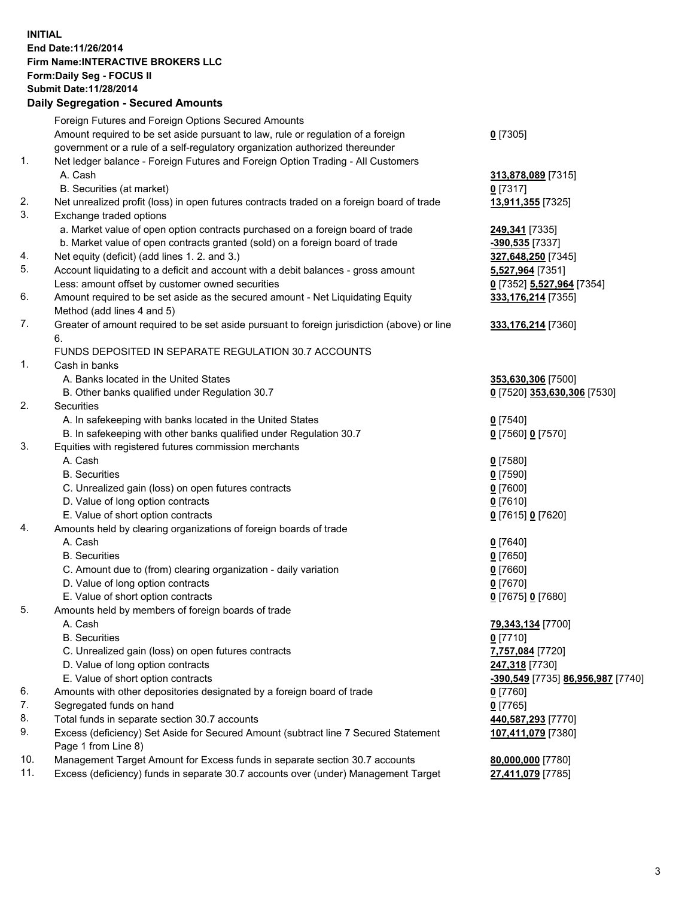## **INITIAL End Date:11/26/2014 Firm Name:INTERACTIVE BROKERS LLC Form:Daily Seg - FOCUS II Submit Date:11/28/2014 Daily Segregation - Secured Amounts**

|     | Foreign Futures and Foreign Options Secured Amounts                                                        |                                   |
|-----|------------------------------------------------------------------------------------------------------------|-----------------------------------|
|     | Amount required to be set aside pursuant to law, rule or regulation of a foreign                           | $0$ [7305]                        |
|     | government or a rule of a self-regulatory organization authorized thereunder                               |                                   |
| 1.  | Net ledger balance - Foreign Futures and Foreign Option Trading - All Customers                            |                                   |
|     | A. Cash                                                                                                    | 313,878,089 [7315]                |
|     | B. Securities (at market)                                                                                  | $0$ [7317]                        |
| 2.  | Net unrealized profit (loss) in open futures contracts traded on a foreign board of trade                  | 13,911,355 [7325]                 |
| 3.  | Exchange traded options                                                                                    |                                   |
|     | a. Market value of open option contracts purchased on a foreign board of trade                             | 249,341 [7335]                    |
|     | b. Market value of open contracts granted (sold) on a foreign board of trade                               | -390,535 [7337]                   |
| 4.  | Net equity (deficit) (add lines 1.2. and 3.)                                                               | 327,648,250 [7345]                |
| 5.  | Account liquidating to a deficit and account with a debit balances - gross amount                          | 5,527,964 [7351]                  |
|     | Less: amount offset by customer owned securities                                                           | 0 [7352] 5,527,964 [7354]         |
| 6.  | Amount required to be set aside as the secured amount - Net Liquidating Equity                             | 333,176,214 [7355]                |
|     | Method (add lines 4 and 5)                                                                                 |                                   |
| 7.  | Greater of amount required to be set aside pursuant to foreign jurisdiction (above) or line                | 333,176,214 [7360]                |
|     | 6.                                                                                                         |                                   |
|     | FUNDS DEPOSITED IN SEPARATE REGULATION 30.7 ACCOUNTS                                                       |                                   |
| 1.  | Cash in banks                                                                                              |                                   |
|     | A. Banks located in the United States                                                                      | 353,630,306 [7500]                |
|     | B. Other banks qualified under Regulation 30.7                                                             | 0 [7520] 353,630,306 [7530]       |
| 2.  | Securities                                                                                                 |                                   |
|     | A. In safekeeping with banks located in the United States                                                  | $0$ [7540]                        |
|     | B. In safekeeping with other banks qualified under Regulation 30.7                                         | 0 [7560] 0 [7570]                 |
| 3.  | Equities with registered futures commission merchants                                                      |                                   |
|     | A. Cash                                                                                                    | $0$ [7580]                        |
|     | <b>B.</b> Securities                                                                                       | $0$ [7590]                        |
|     | C. Unrealized gain (loss) on open futures contracts                                                        | $0$ [7600]                        |
|     | D. Value of long option contracts                                                                          | $0$ [7610]                        |
|     | E. Value of short option contracts                                                                         | 0 [7615] 0 [7620]                 |
| 4.  | Amounts held by clearing organizations of foreign boards of trade                                          |                                   |
|     | A. Cash                                                                                                    | $0$ [7640]                        |
|     | <b>B.</b> Securities                                                                                       | $0$ [7650]                        |
|     | C. Amount due to (from) clearing organization - daily variation                                            | $0$ [7660]                        |
|     | D. Value of long option contracts                                                                          | $0$ [7670]                        |
|     | E. Value of short option contracts                                                                         | 0 [7675] 0 [7680]                 |
| 5.  | Amounts held by members of foreign boards of trade                                                         |                                   |
|     | A. Cash                                                                                                    | 79,343,134 [7700]                 |
|     | <b>B.</b> Securities                                                                                       | $0$ [7710]                        |
|     | C. Unrealized gain (loss) on open futures contracts                                                        | 7,757,084 [7720]                  |
|     | D. Value of long option contracts                                                                          | 247,318 [7730]                    |
|     | E. Value of short option contracts                                                                         | -390,549 [7735] 86,956,987 [7740] |
| 6.  | Amounts with other depositories designated by a foreign board of trade                                     | $0$ [7760]                        |
| 7.  | Segregated funds on hand                                                                                   | $0$ [7765]                        |
| 8.  | Total funds in separate section 30.7 accounts                                                              | 440,587,293 [7770]                |
| 9.  | Excess (deficiency) Set Aside for Secured Amount (subtract line 7 Secured Statement<br>Page 1 from Line 8) | 107,411,079 [7380]                |
| 10. | Management Target Amount for Excess funds in separate section 30.7 accounts                                | 80,000,000 [7780]                 |
| 11. | Excess (deficiency) funds in separate 30.7 accounts over (under) Management Target                         | 27,411,079 [7785]                 |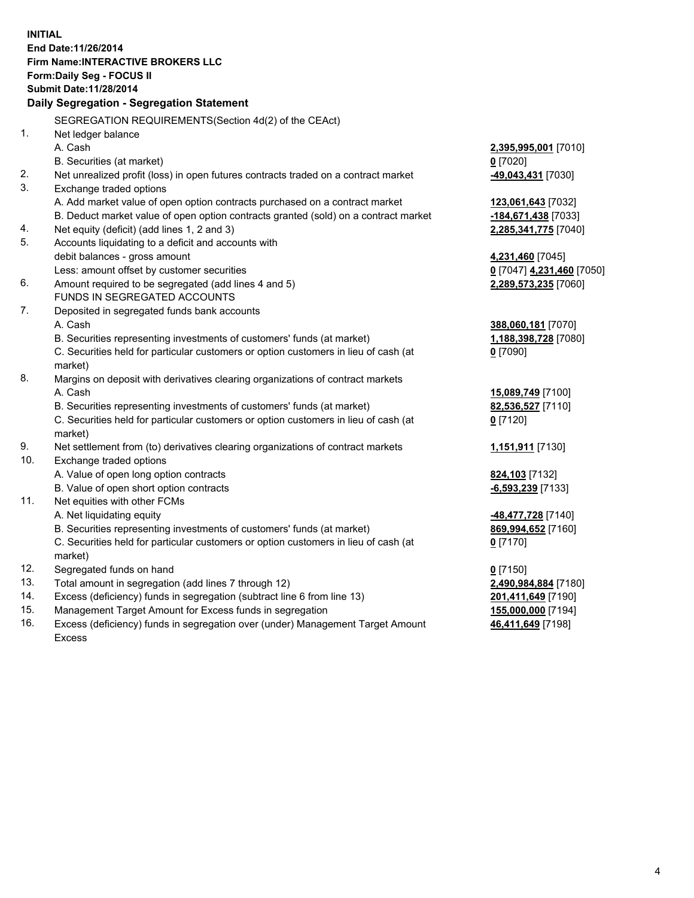**INITIAL End Date:11/26/2014 Firm Name:INTERACTIVE BROKERS LLC Form:Daily Seg - FOCUS II Submit Date:11/28/2014 Daily Segregation - Segregation Statement** SEGREGATION REQUIREMENTS(Section 4d(2) of the CEAct) 1. Net ledger balance A. Cash **2,395,995,001** [7010] B. Securities (at market) **0** [7020] 2. Net unrealized profit (loss) in open futures contracts traded on a contract market **-49,043,431** [7030] 3. Exchange traded options A. Add market value of open option contracts purchased on a contract market **123,061,643** [7032] B. Deduct market value of open option contracts granted (sold) on a contract market **-184,671,438** [7033] 4. Net equity (deficit) (add lines 1, 2 and 3) **2,285,341,775** [7040] 5. Accounts liquidating to a deficit and accounts with debit balances - gross amount **4,231,460** [7045] Less: amount offset by customer securities **0** [7047] **4,231,460** [7050] 6. Amount required to be segregated (add lines 4 and 5) **2,289,573,235** [7060] FUNDS IN SEGREGATED ACCOUNTS 7. Deposited in segregated funds bank accounts A. Cash **388,060,181** [7070] B. Securities representing investments of customers' funds (at market) **1,188,398,728** [7080] C. Securities held for particular customers or option customers in lieu of cash (at market) **0** [7090] 8. Margins on deposit with derivatives clearing organizations of contract markets A. Cash **15,089,749** [7100] B. Securities representing investments of customers' funds (at market) **82,536,527** [7110] C. Securities held for particular customers or option customers in lieu of cash (at market) **0** [7120] 9. Net settlement from (to) derivatives clearing organizations of contract markets **1,151,911** [7130] 10. Exchange traded options A. Value of open long option contracts **824,103** [7132] B. Value of open short option contracts **-6,593,239** [7133] 11. Net equities with other FCMs A. Net liquidating equity **-48,477,728** [7140] B. Securities representing investments of customers' funds (at market) **869,994,652** [7160] C. Securities held for particular customers or option customers in lieu of cash (at market) **0** [7170] 12. Segregated funds on hand **0** [7150] 13. Total amount in segregation (add lines 7 through 12) **2,490,984,884** [7180] 14. Excess (deficiency) funds in segregation (subtract line 6 from line 13) **201,411,649** [7190] 15. Management Target Amount for Excess funds in segregation **155,000,000** [7194]

16. Excess (deficiency) funds in segregation over (under) Management Target Amount Excess

**46,411,649** [7198]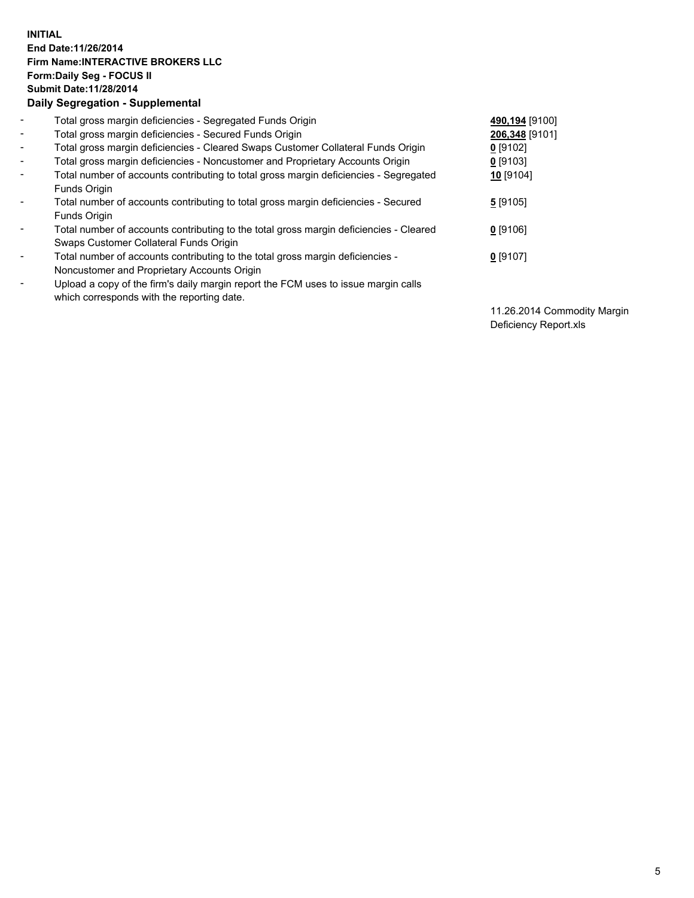## **INITIAL End Date:11/26/2014 Firm Name:INTERACTIVE BROKERS LLC Form:Daily Seg - FOCUS II Submit Date:11/28/2014 Daily Segregation - Supplemental**

| $\blacksquare$               | Total gross margin deficiencies - Segregated Funds Origin                              | 490,194 [9100] |
|------------------------------|----------------------------------------------------------------------------------------|----------------|
| $\blacksquare$               | Total gross margin deficiencies - Secured Funds Origin                                 | 206,348 [9101] |
| $\blacksquare$               | Total gross margin deficiencies - Cleared Swaps Customer Collateral Funds Origin       | $0$ [9102]     |
| $\blacksquare$               | Total gross margin deficiencies - Noncustomer and Proprietary Accounts Origin          | $0$ [9103]     |
| $\blacksquare$               | Total number of accounts contributing to total gross margin deficiencies - Segregated  | 10 [9104]      |
|                              | <b>Funds Origin</b>                                                                    |                |
| $\blacksquare$               | Total number of accounts contributing to total gross margin deficiencies - Secured     | 5[9105]        |
|                              | <b>Funds Origin</b>                                                                    |                |
| $\blacksquare$               | Total number of accounts contributing to the total gross margin deficiencies - Cleared | $0$ [9106]     |
|                              | Swaps Customer Collateral Funds Origin                                                 |                |
| $\overline{\phantom{a}}$     | Total number of accounts contributing to the total gross margin deficiencies -         | $0$ [9107]     |
|                              | Noncustomer and Proprietary Accounts Origin                                            |                |
| $\qquad \qquad \blacksquare$ | Upload a copy of the firm's daily margin report the FCM uses to issue margin calls     |                |
|                              | which corresponds with the reporting date.                                             |                |

11.26.2014 Commodity Margin Deficiency Report.xls